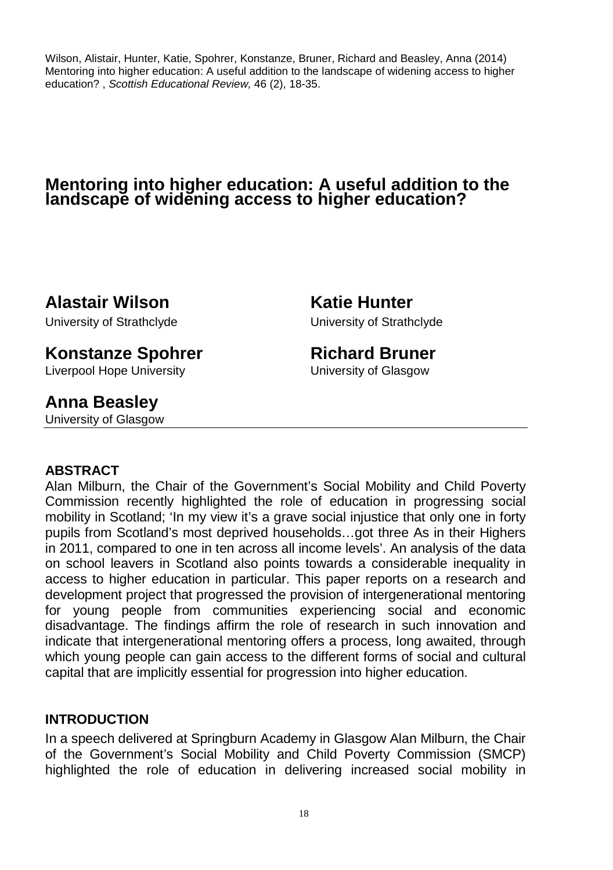Wilson, Alistair, Hunter, Katie, Spohrer, Konstanze, Bruner, Richard and Beasley, Anna (2014) Mentoring into higher education: A useful addition to the landscape of widening access to higher education? , Scottish Educational Review, 46 (2), 18-35.

# **Mentoring into higher education: A useful addition to the landscape of widening access to higher education?**

**Alastair Wilson Katie Hunter** 

University of Strathclyde University of Strathclyde

# **Konstanze Spohrer The Richard Bruner**

Liverpool Hope University University of Glasgow

# **Anna Beasley**

University of Glasgow

# **ABSTRACT**

Alan Milburn, the Chair of the Government's Social Mobility and Child Poverty Commission recently highlighted the role of education in progressing social mobility in Scotland; 'In my view it's a grave social injustice that only one in forty pupils from Scotland's most deprived households…got three As in their Highers in 2011, compared to one in ten across all income levels'. An analysis of the data on school leavers in Scotland also points towards a considerable inequality in access to higher education in particular. This paper reports on a research and development project that progressed the provision of intergenerational mentoring for young people from communities experiencing social and economic disadvantage. The findings affirm the role of research in such innovation and indicate that intergenerational mentoring offers a process, long awaited, through which young people can gain access to the different forms of social and cultural capital that are implicitly essential for progression into higher education.

# **INTRODUCTION**

In a speech delivered at Springburn Academy in Glasgow Alan Milburn, the Chair of the Government's Social Mobility and Child Poverty Commission (SMCP) highlighted the role of education in delivering increased social mobility in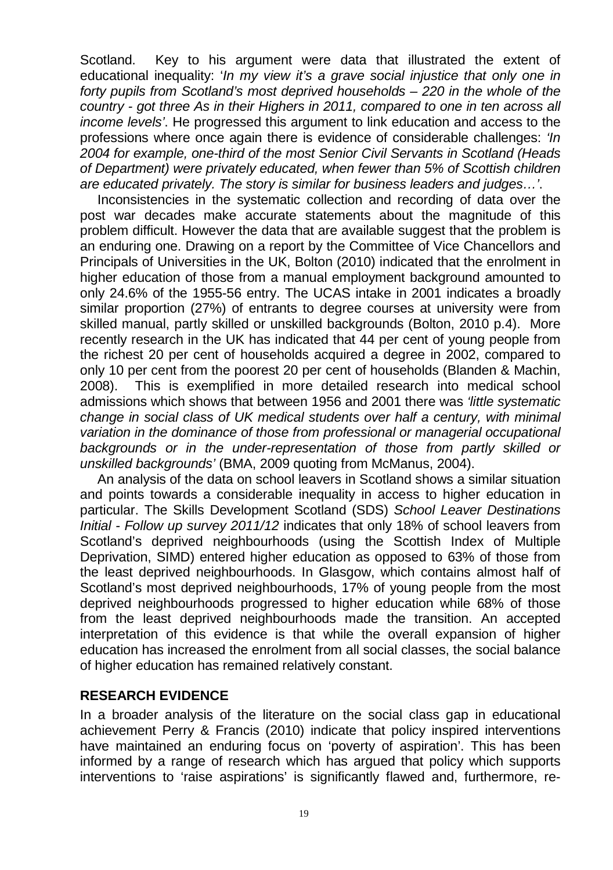Scotland. Key to his argument were data that illustrated the extent of educational inequality: 'In my view it's a grave social injustice that only one in forty pupils from Scotland's most deprived households – 220 in the whole of the country - got three As in their Highers in 2011, compared to one in ten across all income levels'. He progressed this argument to link education and access to the professions where once again there is evidence of considerable challenges: 'In 2004 for example, one-third of the most Senior Civil Servants in Scotland (Heads of Department) were privately educated, when fewer than 5% of Scottish children are educated privately. The story is similar for business leaders and judges…'.

Inconsistencies in the systematic collection and recording of data over the post war decades make accurate statements about the magnitude of this problem difficult. However the data that are available suggest that the problem is an enduring one. Drawing on a report by the Committee of Vice Chancellors and Principals of Universities in the UK, Bolton (2010) indicated that the enrolment in higher education of those from a manual employment background amounted to only 24.6% of the 1955-56 entry. The UCAS intake in 2001 indicates a broadly similar proportion (27%) of entrants to degree courses at university were from skilled manual, partly skilled or unskilled backgrounds (Bolton, 2010 p.4). More recently research in the UK has indicated that 44 per cent of young people from the richest 20 per cent of households acquired a degree in 2002, compared to only 10 per cent from the poorest 20 per cent of households (Blanden & Machin, 2008). This is exemplified in more detailed research into medical school admissions which shows that between 1956 and 2001 there was 'little systematic change in social class of UK medical students over half a century, with minimal variation in the dominance of those from professional or managerial occupational backgrounds or in the under-representation of those from partly skilled or unskilled backgrounds' (BMA, 2009 quoting from McManus, 2004).

An analysis of the data on school leavers in Scotland shows a similar situation and points towards a considerable inequality in access to higher education in particular. The Skills Development Scotland (SDS) School Leaver Destinations Initial - Follow up survey 2011/12 indicates that only 18% of school leavers from Scotland's deprived neighbourhoods (using the Scottish Index of Multiple Deprivation, SIMD) entered higher education as opposed to 63% of those from the least deprived neighbourhoods. In Glasgow, which contains almost half of Scotland's most deprived neighbourhoods, 17% of young people from the most deprived neighbourhoods progressed to higher education while 68% of those from the least deprived neighbourhoods made the transition. An accepted interpretation of this evidence is that while the overall expansion of higher education has increased the enrolment from all social classes, the social balance of higher education has remained relatively constant.

### **RESEARCH EVIDENCE**

In a broader analysis of the literature on the social class gap in educational achievement Perry & Francis (2010) indicate that policy inspired interventions have maintained an enduring focus on 'poverty of aspiration'. This has been informed by a range of research which has argued that policy which supports interventions to 'raise aspirations' is significantly flawed and, furthermore, re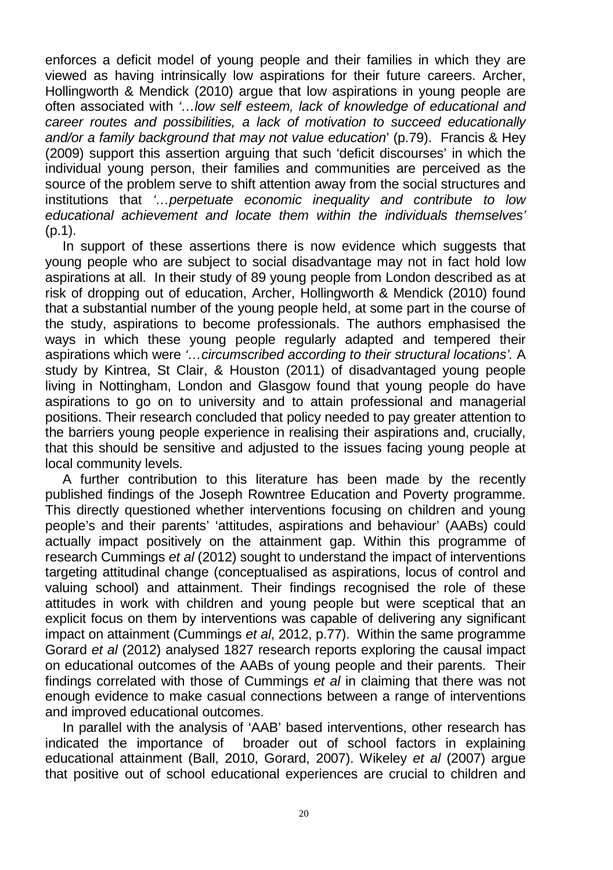enforces a deficit model of young people and their families in which they are viewed as having intrinsically low aspirations for their future careers. Archer, Hollingworth & Mendick (2010) argue that low aspirations in young people are often associated with '…low self esteem, lack of knowledge of educational and career routes and possibilities, a lack of motivation to succeed educationally and/or a family background that may not value education' (p.79). Francis & Hey (2009) support this assertion arguing that such 'deficit discourses' in which the individual young person, their families and communities are perceived as the source of the problem serve to shift attention away from the social structures and institutions that '…perpetuate economic inequality and contribute to low educational achievement and locate them within the individuals themselves'  $(p.1)$ .

In support of these assertions there is now evidence which suggests that young people who are subject to social disadvantage may not in fact hold low aspirations at all. In their study of 89 young people from London described as at risk of dropping out of education, Archer, Hollingworth & Mendick (2010) found that a substantial number of the young people held, at some part in the course of the study, aspirations to become professionals. The authors emphasised the ways in which these young people regularly adapted and tempered their aspirations which were '…circumscribed according to their structural locations'. A study by Kintrea, St Clair, & Houston (2011) of disadvantaged young people living in Nottingham, London and Glasgow found that young people do have aspirations to go on to university and to attain professional and managerial positions. Their research concluded that policy needed to pay greater attention to the barriers young people experience in realising their aspirations and, crucially, that this should be sensitive and adjusted to the issues facing young people at local community levels.

A further contribution to this literature has been made by the recently published findings of the Joseph Rowntree Education and Poverty programme. This directly questioned whether interventions focusing on children and young people's and their parents' 'attitudes, aspirations and behaviour' (AABs) could actually impact positively on the attainment gap. Within this programme of research Cummings et al (2012) sought to understand the impact of interventions targeting attitudinal change (conceptualised as aspirations, locus of control and valuing school) and attainment. Their findings recognised the role of these attitudes in work with children and young people but were sceptical that an explicit focus on them by interventions was capable of delivering any significant impact on attainment (Cummings et al, 2012, p.77). Within the same programme Gorard et al (2012) analysed 1827 research reports exploring the causal impact on educational outcomes of the AABs of young people and their parents. Their findings correlated with those of Cummings et al in claiming that there was not enough evidence to make casual connections between a range of interventions and improved educational outcomes.

In parallel with the analysis of 'AAB' based interventions, other research has indicated the importance of broader out of school factors in explaining educational attainment (Ball, 2010, Gorard, 2007). Wikeley et al (2007) argue that positive out of school educational experiences are crucial to children and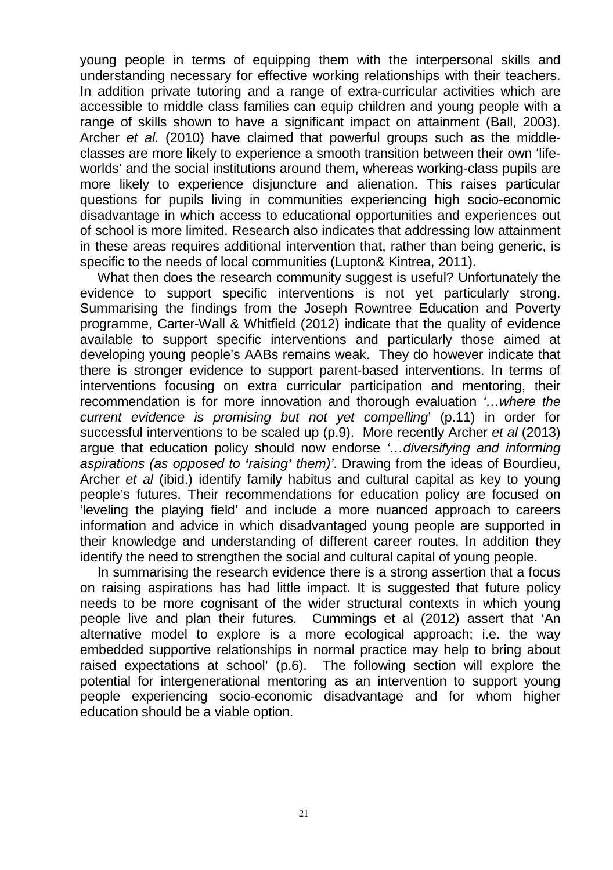young people in terms of equipping them with the interpersonal skills and understanding necessary for effective working relationships with their teachers. In addition private tutoring and a range of extra-curricular activities which are accessible to middle class families can equip children and young people with a range of skills shown to have a significant impact on attainment (Ball, 2003). Archer et al. (2010) have claimed that powerful groups such as the middleclasses are more likely to experience a smooth transition between their own 'lifeworlds' and the social institutions around them, whereas working-class pupils are more likely to experience disjuncture and alienation. This raises particular questions for pupils living in communities experiencing high socio-economic disadvantage in which access to educational opportunities and experiences out of school is more limited. Research also indicates that addressing low attainment in these areas requires additional intervention that, rather than being generic, is specific to the needs of local communities (Lupton& Kintrea, 2011).

What then does the research community suggest is useful? Unfortunately the evidence to support specific interventions is not yet particularly strong. Summarising the findings from the Joseph Rowntree Education and Poverty programme, Carter-Wall & Whitfield (2012) indicate that the quality of evidence available to support specific interventions and particularly those aimed at developing young people's AABs remains weak. They do however indicate that there is stronger evidence to support parent-based interventions. In terms of interventions focusing on extra curricular participation and mentoring, their recommendation is for more innovation and thorough evaluation '…where the current evidence is promising but not yet compelling' (p.11) in order for successful interventions to be scaled up (p.9). More recently Archer et al (2013) argue that education policy should now endorse '…diversifying and informing aspirations (as opposed to **'**raising**'** them)'. Drawing from the ideas of Bourdieu, Archer et al (ibid.) identify family habitus and cultural capital as key to young people's futures. Their recommendations for education policy are focused on 'leveling the playing field' and include a more nuanced approach to careers information and advice in which disadvantaged young people are supported in their knowledge and understanding of different career routes. In addition they identify the need to strengthen the social and cultural capital of young people.

In summarising the research evidence there is a strong assertion that a focus on raising aspirations has had little impact. It is suggested that future policy needs to be more cognisant of the wider structural contexts in which young people live and plan their futures. Cummings et al (2012) assert that 'An alternative model to explore is a more ecological approach; i.e. the way embedded supportive relationships in normal practice may help to bring about raised expectations at school' (p.6). The following section will explore the potential for intergenerational mentoring as an intervention to support young people experiencing socio-economic disadvantage and for whom higher education should be a viable option.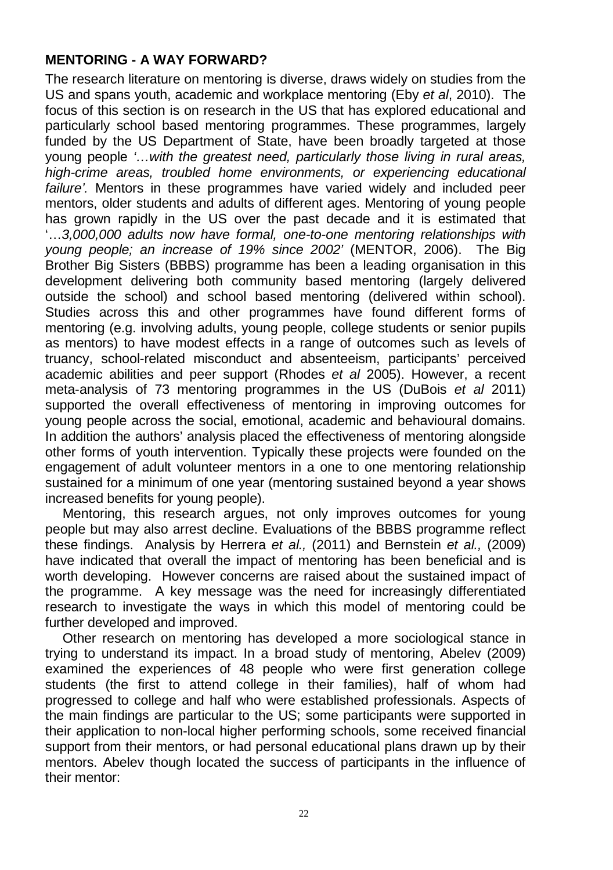# **MENTORING - A WAY FORWARD?**

The research literature on mentoring is diverse, draws widely on studies from the US and spans youth, academic and workplace mentoring (Eby et al, 2010). The focus of this section is on research in the US that has explored educational and particularly school based mentoring programmes. These programmes, largely funded by the US Department of State, have been broadly targeted at those young people '…with the greatest need, particularly those living in rural areas, high-crime areas, troubled home environments, or experiencing educational failure'. Mentors in these programmes have varied widely and included peer mentors, older students and adults of different ages. Mentoring of young people has grown rapidly in the US over the past decade and it is estimated that '…3,000,000 adults now have formal, one-to-one mentoring relationships with young people; an increase of 19% since 2002' (MENTOR, 2006). The Big Brother Big Sisters (BBBS) programme has been a leading organisation in this development delivering both community based mentoring (largely delivered outside the school) and school based mentoring (delivered within school). Studies across this and other programmes have found different forms of mentoring (e.g. involving adults, young people, college students or senior pupils as mentors) to have modest effects in a range of outcomes such as levels of truancy, school-related misconduct and absenteeism, participants' perceived academic abilities and peer support (Rhodes et al 2005). However, a recent meta-analysis of 73 mentoring programmes in the US (DuBois et al 2011) supported the overall effectiveness of mentoring in improving outcomes for young people across the social, emotional, academic and behavioural domains. In addition the authors' analysis placed the effectiveness of mentoring alongside other forms of youth intervention. Typically these projects were founded on the engagement of adult volunteer mentors in a one to one mentoring relationship sustained for a minimum of one year (mentoring sustained beyond a year shows increased benefits for young people).

Mentoring, this research argues, not only improves outcomes for young people but may also arrest decline. Evaluations of the BBBS programme reflect these findings. Analysis by Herrera et al., (2011) and Bernstein et al., (2009) have indicated that overall the impact of mentoring has been beneficial and is worth developing. However concerns are raised about the sustained impact of the programme. A key message was the need for increasingly differentiated research to investigate the ways in which this model of mentoring could be further developed and improved.

Other research on mentoring has developed a more sociological stance in trying to understand its impact. In a broad study of mentoring, Abelev (2009) examined the experiences of 48 people who were first generation college students (the first to attend college in their families), half of whom had progressed to college and half who were established professionals. Aspects of the main findings are particular to the US; some participants were supported in their application to non-local higher performing schools, some received financial support from their mentors, or had personal educational plans drawn up by their mentors. Abelev though located the success of participants in the influence of their mentor: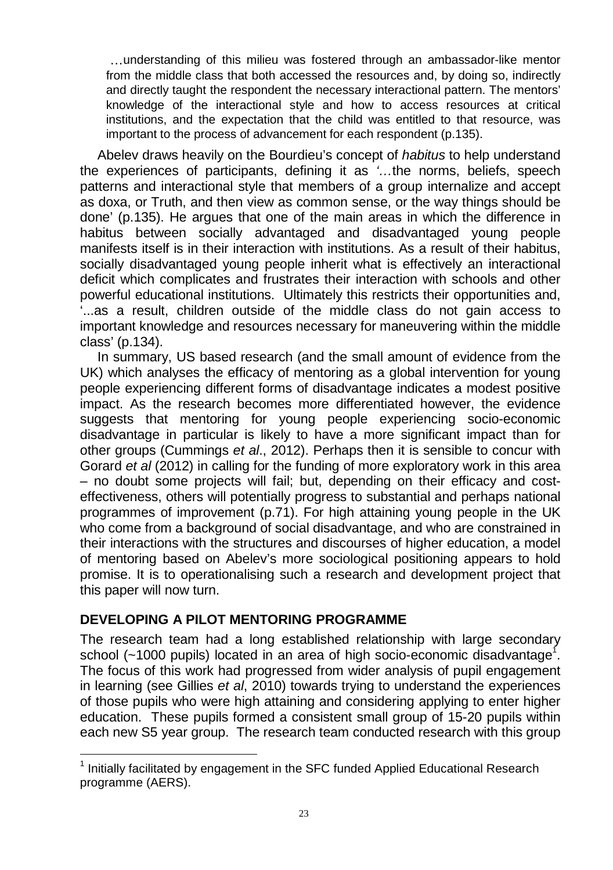…understanding of this milieu was fostered through an ambassador-like mentor from the middle class that both accessed the resources and, by doing so, indirectly and directly taught the respondent the necessary interactional pattern. The mentors' knowledge of the interactional style and how to access resources at critical institutions, and the expectation that the child was entitled to that resource, was important to the process of advancement for each respondent (p.135).

Abelev draws heavily on the Bourdieu's concept of habitus to help understand the experiences of participants, defining it as '…the norms, beliefs, speech patterns and interactional style that members of a group internalize and accept as doxa, or Truth, and then view as common sense, or the way things should be done' (p.135). He argues that one of the main areas in which the difference in habitus between socially advantaged and disadvantaged young people manifests itself is in their interaction with institutions. As a result of their habitus, socially disadvantaged young people inherit what is effectively an interactional deficit which complicates and frustrates their interaction with schools and other powerful educational institutions. Ultimately this restricts their opportunities and, '...as a result, children outside of the middle class do not gain access to important knowledge and resources necessary for maneuvering within the middle class' (p.134).

In summary, US based research (and the small amount of evidence from the UK) which analyses the efficacy of mentoring as a global intervention for young people experiencing different forms of disadvantage indicates a modest positive impact. As the research becomes more differentiated however, the evidence suggests that mentoring for young people experiencing socio-economic disadvantage in particular is likely to have a more significant impact than for other groups (Cummings et al., 2012). Perhaps then it is sensible to concur with Gorard et al (2012) in calling for the funding of more exploratory work in this area – no doubt some projects will fail; but, depending on their efficacy and costeffectiveness, others will potentially progress to substantial and perhaps national programmes of improvement (p.71). For high attaining young people in the UK who come from a background of social disadvantage, and who are constrained in their interactions with the structures and discourses of higher education, a model of mentoring based on Abelev's more sociological positioning appears to hold promise. It is to operationalising such a research and development project that this paper will now turn.

# **DEVELOPING A PILOT MENTORING PROGRAMME**

The research team had a long established relationship with large secondary school (~1000 pupils) located in an area of high socio-economic disadvantage<sup>1</sup>. The focus of this work had progressed from wider analysis of pupil engagement in learning (see Gillies et al, 2010) towards trying to understand the experiences of those pupils who were high attaining and considering applying to enter higher education. These pupils formed a consistent small group of 15-20 pupils within each new S5 year group. The research team conducted research with this group

 $\overline{\phantom{a}}$  $1$  Initially facilitated by engagement in the SFC funded Applied Educational Research programme (AERS).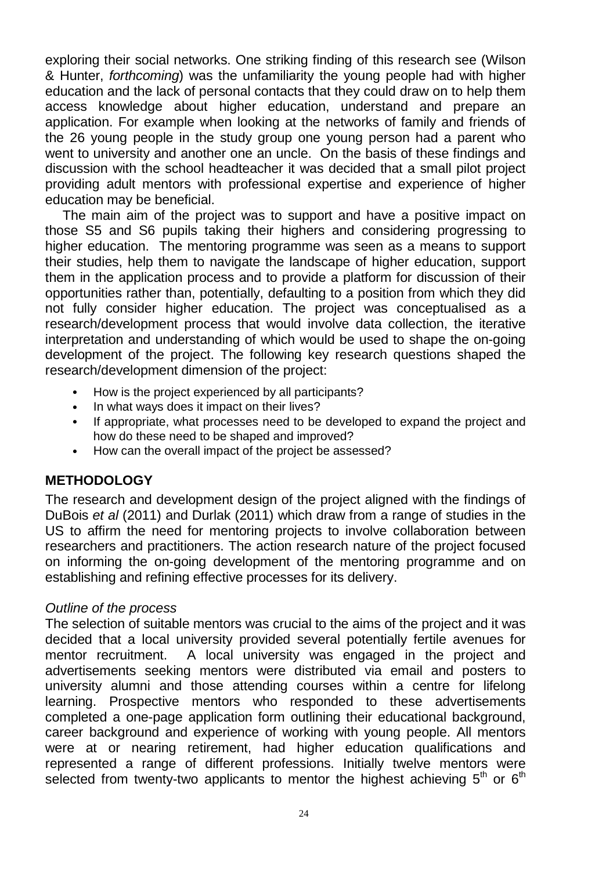exploring their social networks. One striking finding of this research see (Wilson & Hunter, forthcoming) was the unfamiliarity the young people had with higher education and the lack of personal contacts that they could draw on to help them access knowledge about higher education, understand and prepare an application. For example when looking at the networks of family and friends of the 26 young people in the study group one young person had a parent who went to university and another one an uncle. On the basis of these findings and discussion with the school headteacher it was decided that a small pilot project providing adult mentors with professional expertise and experience of higher education may be beneficial.

The main aim of the project was to support and have a positive impact on those S5 and S6 pupils taking their highers and considering progressing to higher education. The mentoring programme was seen as a means to support their studies, help them to navigate the landscape of higher education, support them in the application process and to provide a platform for discussion of their opportunities rather than, potentially, defaulting to a position from which they did not fully consider higher education. The project was conceptualised as a research/development process that would involve data collection, the iterative interpretation and understanding of which would be used to shape the on-going development of the project. The following key research questions shaped the research/development dimension of the project:

- How is the project experienced by all participants?
- In what ways does it impact on their lives?
- If appropriate, what processes need to be developed to expand the project and how do these need to be shaped and improved?
- How can the overall impact of the project be assessed?

# **METHODOLOGY**

The research and development design of the project aligned with the findings of DuBois et al (2011) and Durlak (2011) which draw from a range of studies in the US to affirm the need for mentoring projects to involve collaboration between researchers and practitioners. The action research nature of the project focused on informing the on-going development of the mentoring programme and on establishing and refining effective processes for its delivery.

### Outline of the process

The selection of suitable mentors was crucial to the aims of the project and it was decided that a local university provided several potentially fertile avenues for mentor recruitment. A local university was engaged in the project and advertisements seeking mentors were distributed via email and posters to university alumni and those attending courses within a centre for lifelong learning. Prospective mentors who responded to these advertisements completed a one-page application form outlining their educational background, career background and experience of working with young people. All mentors were at or nearing retirement, had higher education qualifications and represented a range of different professions. Initially twelve mentors were selected from twenty-two applicants to mentor the highest achieving  $5<sup>th</sup>$  or  $6<sup>th</sup>$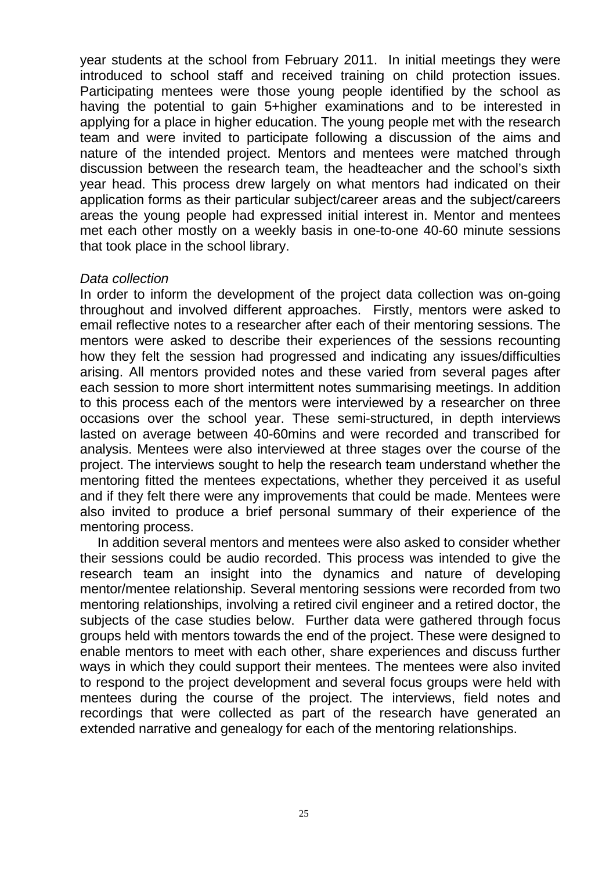year students at the school from February 2011. In initial meetings they were introduced to school staff and received training on child protection issues. Participating mentees were those young people identified by the school as having the potential to gain 5+higher examinations and to be interested in applying for a place in higher education. The young people met with the research team and were invited to participate following a discussion of the aims and nature of the intended project. Mentors and mentees were matched through discussion between the research team, the headteacher and the school's sixth year head. This process drew largely on what mentors had indicated on their application forms as their particular subject/career areas and the subject/careers areas the young people had expressed initial interest in. Mentor and mentees met each other mostly on a weekly basis in one-to-one 40-60 minute sessions that took place in the school library.

#### Data collection

In order to inform the development of the project data collection was on-going throughout and involved different approaches. Firstly, mentors were asked to email reflective notes to a researcher after each of their mentoring sessions. The mentors were asked to describe their experiences of the sessions recounting how they felt the session had progressed and indicating any issues/difficulties arising. All mentors provided notes and these varied from several pages after each session to more short intermittent notes summarising meetings. In addition to this process each of the mentors were interviewed by a researcher on three occasions over the school year. These semi-structured, in depth interviews lasted on average between 40-60mins and were recorded and transcribed for analysis. Mentees were also interviewed at three stages over the course of the project. The interviews sought to help the research team understand whether the mentoring fitted the mentees expectations, whether they perceived it as useful and if they felt there were any improvements that could be made. Mentees were also invited to produce a brief personal summary of their experience of the mentoring process.

In addition several mentors and mentees were also asked to consider whether their sessions could be audio recorded. This process was intended to give the research team an insight into the dynamics and nature of developing mentor/mentee relationship. Several mentoring sessions were recorded from two mentoring relationships, involving a retired civil engineer and a retired doctor, the subjects of the case studies below. Further data were gathered through focus groups held with mentors towards the end of the project. These were designed to enable mentors to meet with each other, share experiences and discuss further ways in which they could support their mentees. The mentees were also invited to respond to the project development and several focus groups were held with mentees during the course of the project. The interviews, field notes and recordings that were collected as part of the research have generated an extended narrative and genealogy for each of the mentoring relationships.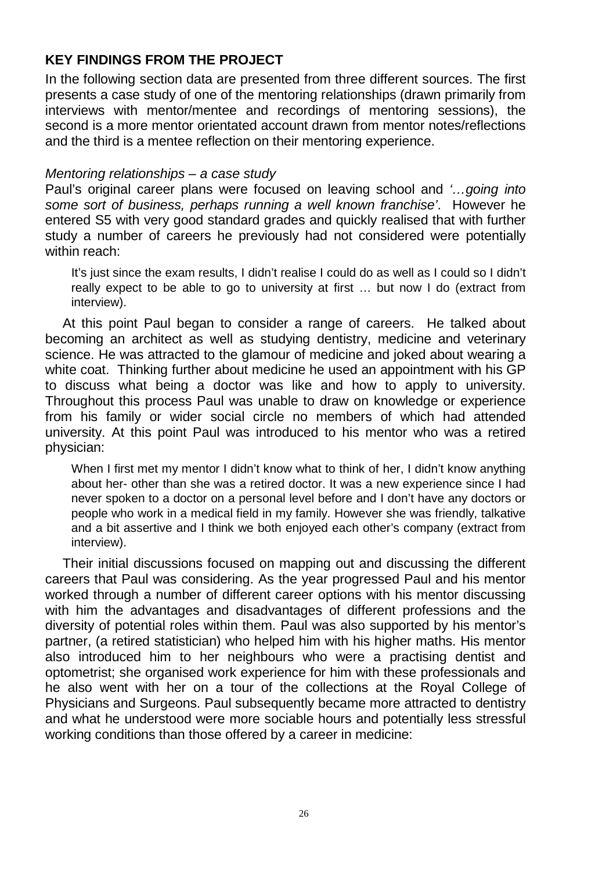# **KEY FINDINGS FROM THE PROJECT**

In the following section data are presented from three different sources. The first presents a case study of one of the mentoring relationships (drawn primarily from interviews with mentor/mentee and recordings of mentoring sessions), the second is a more mentor orientated account drawn from mentor notes/reflections and the third is a mentee reflection on their mentoring experience.

#### Mentoring relationships – a case study

Paul's original career plans were focused on leaving school and '...going into some sort of business, perhaps running a well known franchise'. However he entered S5 with very good standard grades and quickly realised that with further study a number of careers he previously had not considered were potentially within reach:

It's just since the exam results, I didn't realise I could do as well as I could so I didn't really expect to be able to go to university at first … but now I do (extract from interview).

At this point Paul began to consider a range of careers. He talked about becoming an architect as well as studying dentistry, medicine and veterinary science. He was attracted to the glamour of medicine and joked about wearing a white coat. Thinking further about medicine he used an appointment with his GP to discuss what being a doctor was like and how to apply to university. Throughout this process Paul was unable to draw on knowledge or experience from his family or wider social circle no members of which had attended university. At this point Paul was introduced to his mentor who was a retired physician:

When I first met my mentor I didn't know what to think of her, I didn't know anything about her- other than she was a retired doctor. It was a new experience since I had never spoken to a doctor on a personal level before and I don't have any doctors or people who work in a medical field in my family. However she was friendly, talkative and a bit assertive and I think we both enjoyed each other's company (extract from interview).

Their initial discussions focused on mapping out and discussing the different careers that Paul was considering. As the year progressed Paul and his mentor worked through a number of different career options with his mentor discussing with him the advantages and disadvantages of different professions and the diversity of potential roles within them. Paul was also supported by his mentor's partner, (a retired statistician) who helped him with his higher maths. His mentor also introduced him to her neighbours who were a practising dentist and optometrist; she organised work experience for him with these professionals and he also went with her on a tour of the collections at the Royal College of Physicians and Surgeons. Paul subsequently became more attracted to dentistry and what he understood were more sociable hours and potentially less stressful working conditions than those offered by a career in medicine: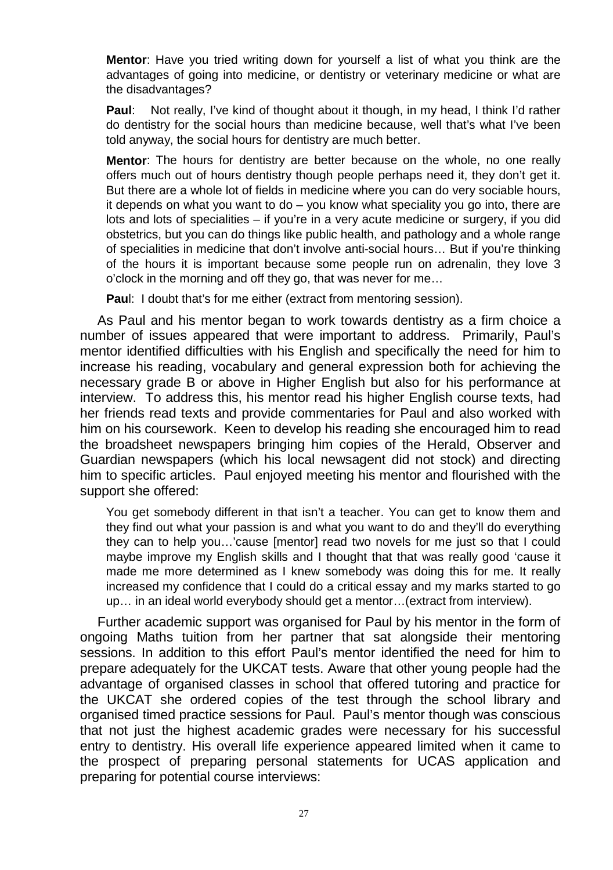**Mentor**: Have you tried writing down for yourself a list of what you think are the advantages of going into medicine, or dentistry or veterinary medicine or what are the disadvantages?

**Paul**: Not really, I've kind of thought about it though, in my head, I think I'd rather do dentistry for the social hours than medicine because, well that's what I've been told anyway, the social hours for dentistry are much better.

**Mentor**: The hours for dentistry are better because on the whole, no one really offers much out of hours dentistry though people perhaps need it, they don't get it. But there are a whole lot of fields in medicine where you can do very sociable hours, it depends on what you want to do – you know what speciality you go into, there are lots and lots of specialities – if you're in a very acute medicine or surgery, if you did obstetrics, but you can do things like public health, and pathology and a whole range of specialities in medicine that don't involve anti-social hours… But if you're thinking of the hours it is important because some people run on adrenalin, they love 3 o'clock in the morning and off they go, that was never for me…

**Paul:** I doubt that's for me either (extract from mentoring session).

As Paul and his mentor began to work towards dentistry as a firm choice a number of issues appeared that were important to address. Primarily, Paul's mentor identified difficulties with his English and specifically the need for him to increase his reading, vocabulary and general expression both for achieving the necessary grade B or above in Higher English but also for his performance at interview. To address this, his mentor read his higher English course texts, had her friends read texts and provide commentaries for Paul and also worked with him on his coursework. Keen to develop his reading she encouraged him to read the broadsheet newspapers bringing him copies of the Herald, Observer and Guardian newspapers (which his local newsagent did not stock) and directing him to specific articles. Paul enjoyed meeting his mentor and flourished with the support she offered:

You get somebody different in that isn't a teacher. You can get to know them and they find out what your passion is and what you want to do and they'll do everything they can to help you…'cause [mentor] read two novels for me just so that I could maybe improve my English skills and I thought that that was really good 'cause it made me more determined as I knew somebody was doing this for me. It really increased my confidence that I could do a critical essay and my marks started to go up… in an ideal world everybody should get a mentor…(extract from interview).

Further academic support was organised for Paul by his mentor in the form of ongoing Maths tuition from her partner that sat alongside their mentoring sessions. In addition to this effort Paul's mentor identified the need for him to prepare adequately for the UKCAT tests. Aware that other young people had the advantage of organised classes in school that offered tutoring and practice for the UKCAT she ordered copies of the test through the school library and organised timed practice sessions for Paul. Paul's mentor though was conscious that not just the highest academic grades were necessary for his successful entry to dentistry. His overall life experience appeared limited when it came to the prospect of preparing personal statements for UCAS application and preparing for potential course interviews: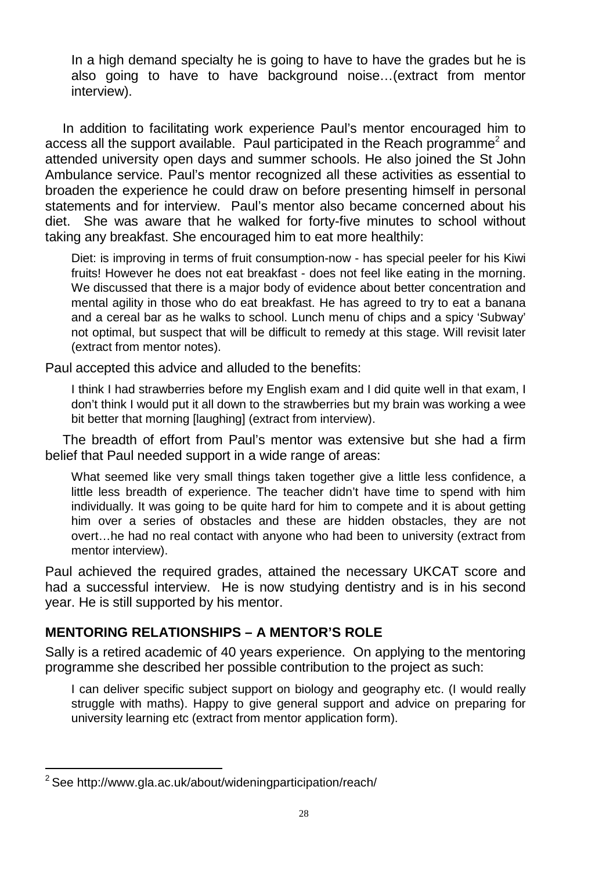In a high demand specialty he is going to have to have the grades but he is also going to have to have background noise…(extract from mentor interview).

In addition to facilitating work experience Paul's mentor encouraged him to access all the support available. Paul participated in the Reach programme<sup>2</sup> and attended university open days and summer schools. He also joined the St John Ambulance service. Paul's mentor recognized all these activities as essential to broaden the experience he could draw on before presenting himself in personal statements and for interview. Paul's mentor also became concerned about his diet. She was aware that he walked for forty-five minutes to school without taking any breakfast. She encouraged him to eat more healthily:

Diet: is improving in terms of fruit consumption-now - has special peeler for his Kiwi fruits! However he does not eat breakfast - does not feel like eating in the morning. We discussed that there is a major body of evidence about better concentration and mental agility in those who do eat breakfast. He has agreed to try to eat a banana and a cereal bar as he walks to school. Lunch menu of chips and a spicy 'Subway' not optimal, but suspect that will be difficult to remedy at this stage. Will revisit later (extract from mentor notes).

Paul accepted this advice and alluded to the benefits:

I think I had strawberries before my English exam and I did quite well in that exam, I don't think I would put it all down to the strawberries but my brain was working a wee bit better that morning [laughing] (extract from interview).

The breadth of effort from Paul's mentor was extensive but she had a firm belief that Paul needed support in a wide range of areas:

What seemed like very small things taken together give a little less confidence, a little less breadth of experience. The teacher didn't have time to spend with him individually. It was going to be quite hard for him to compete and it is about getting him over a series of obstacles and these are hidden obstacles, they are not overt…he had no real contact with anyone who had been to university (extract from mentor interview).

Paul achieved the required grades, attained the necessary UKCAT score and had a successful interview. He is now studying dentistry and is in his second year. He is still supported by his mentor.

# **MENTORING RELATIONSHIPS – A MENTOR'S ROLE**

Sally is a retired academic of 40 years experience. On applying to the mentoring programme she described her possible contribution to the project as such:

I can deliver specific subject support on biology and geography etc. (I would really struggle with maths). Happy to give general support and advice on preparing for university learning etc (extract from mentor application form).

 $\overline{a}$  $2$ See http://www.gla.ac.uk/about/wideningparticipation/reach/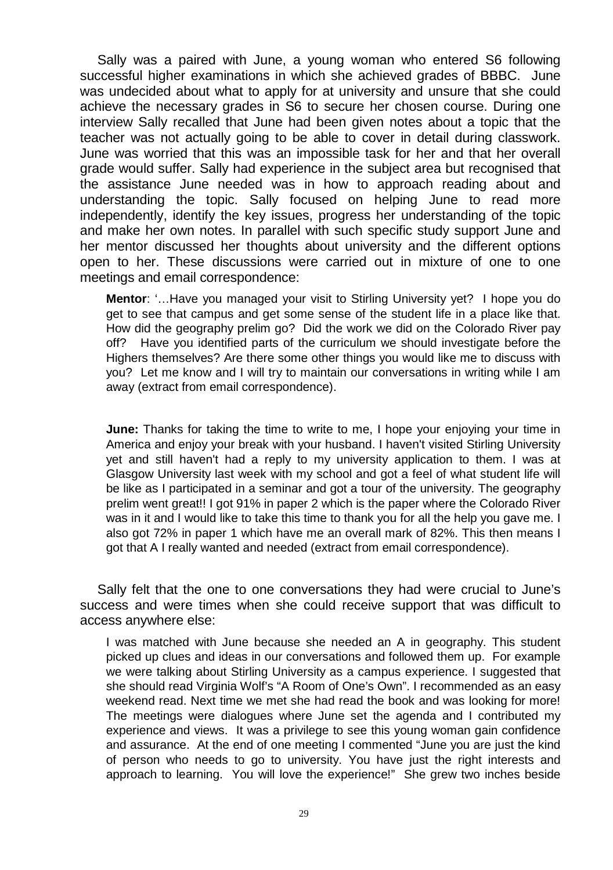Sally was a paired with June, a young woman who entered S6 following successful higher examinations in which she achieved grades of BBBC. June was undecided about what to apply for at university and unsure that she could achieve the necessary grades in S6 to secure her chosen course. During one interview Sally recalled that June had been given notes about a topic that the teacher was not actually going to be able to cover in detail during classwork. June was worried that this was an impossible task for her and that her overall grade would suffer. Sally had experience in the subject area but recognised that the assistance June needed was in how to approach reading about and understanding the topic. Sally focused on helping June to read more independently, identify the key issues, progress her understanding of the topic and make her own notes. In parallel with such specific study support June and her mentor discussed her thoughts about university and the different options open to her. These discussions were carried out in mixture of one to one meetings and email correspondence:

**Mentor**: '…Have you managed your visit to Stirling University yet? I hope you do get to see that campus and get some sense of the student life in a place like that. How did the geography prelim go? Did the work we did on the Colorado River pay off? Have you identified parts of the curriculum we should investigate before the Highers themselves? Are there some other things you would like me to discuss with you? Let me know and I will try to maintain our conversations in writing while I am away (extract from email correspondence).

**June:** Thanks for taking the time to write to me, I hope your enjoying your time in America and enjoy your break with your husband. I haven't visited Stirling University yet and still haven't had a reply to my university application to them. I was at Glasgow University last week with my school and got a feel of what student life will be like as I participated in a seminar and got a tour of the university. The geography prelim went great!! I got 91% in paper 2 which is the paper where the Colorado River was in it and I would like to take this time to thank you for all the help you gave me. I also got 72% in paper 1 which have me an overall mark of 82%. This then means I got that A I really wanted and needed (extract from email correspondence).

Sally felt that the one to one conversations they had were crucial to June's success and were times when she could receive support that was difficult to access anywhere else:

I was matched with June because she needed an A in geography. This student picked up clues and ideas in our conversations and followed them up. For example we were talking about Stirling University as a campus experience. I suggested that she should read Virginia Wolf's "A Room of One's Own". I recommended as an easy weekend read. Next time we met she had read the book and was looking for more! The meetings were dialogues where June set the agenda and I contributed my experience and views. It was a privilege to see this young woman gain confidence and assurance. At the end of one meeting I commented "June you are just the kind of person who needs to go to university. You have just the right interests and approach to learning. You will love the experience!" She grew two inches beside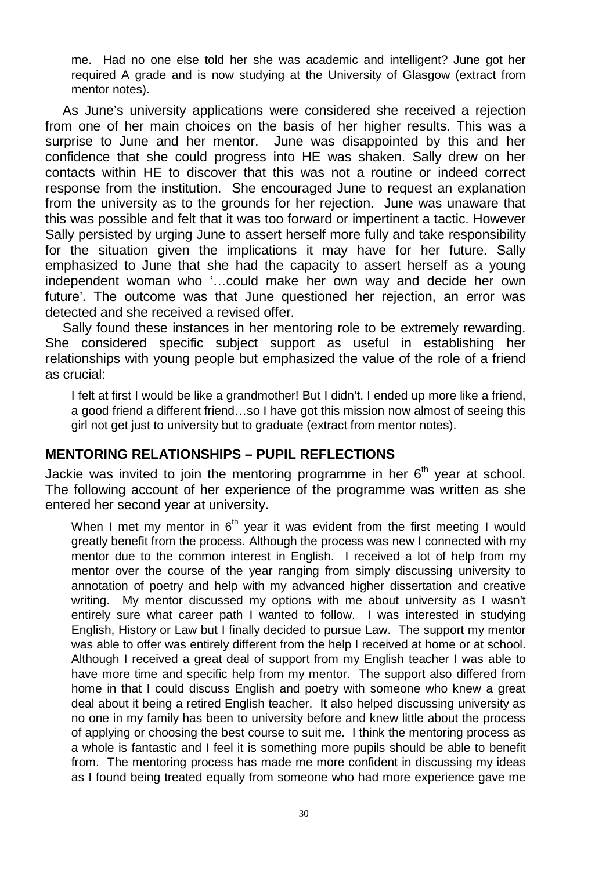me. Had no one else told her she was academic and intelligent? June got her required A grade and is now studying at the University of Glasgow (extract from mentor notes).

As June's university applications were considered she received a rejection from one of her main choices on the basis of her higher results. This was a surprise to June and her mentor. June was disappointed by this and her confidence that she could progress into HE was shaken. Sally drew on her contacts within HE to discover that this was not a routine or indeed correct response from the institution. She encouraged June to request an explanation from the university as to the grounds for her rejection. June was unaware that this was possible and felt that it was too forward or impertinent a tactic. However Sally persisted by urging June to assert herself more fully and take responsibility for the situation given the implications it may have for her future. Sally emphasized to June that she had the capacity to assert herself as a young independent woman who '…could make her own way and decide her own future'. The outcome was that June questioned her rejection, an error was detected and she received a revised offer.

Sally found these instances in her mentoring role to be extremely rewarding. She considered specific subject support as useful in establishing her relationships with young people but emphasized the value of the role of a friend as crucial:

I felt at first I would be like a grandmother! But I didn't. I ended up more like a friend. a good friend a different friend…so I have got this mission now almost of seeing this girl not get just to university but to graduate (extract from mentor notes).

### **MENTORING RELATIONSHIPS – PUPIL REFLECTIONS**

Jackie was invited to join the mentoring programme in her  $6<sup>th</sup>$  year at school. The following account of her experience of the programme was written as she entered her second year at university.

When I met my mentor in  $6<sup>th</sup>$  year it was evident from the first meeting I would greatly benefit from the process. Although the process was new I connected with my mentor due to the common interest in English. I received a lot of help from my mentor over the course of the year ranging from simply discussing university to annotation of poetry and help with my advanced higher dissertation and creative writing. My mentor discussed my options with me about university as I wasn't entirely sure what career path I wanted to follow. I was interested in studying English, History or Law but I finally decided to pursue Law. The support my mentor was able to offer was entirely different from the help I received at home or at school. Although I received a great deal of support from my English teacher I was able to have more time and specific help from my mentor. The support also differed from home in that I could discuss English and poetry with someone who knew a great deal about it being a retired English teacher. It also helped discussing university as no one in my family has been to university before and knew little about the process of applying or choosing the best course to suit me. I think the mentoring process as a whole is fantastic and I feel it is something more pupils should be able to benefit from. The mentoring process has made me more confident in discussing my ideas as I found being treated equally from someone who had more experience gave me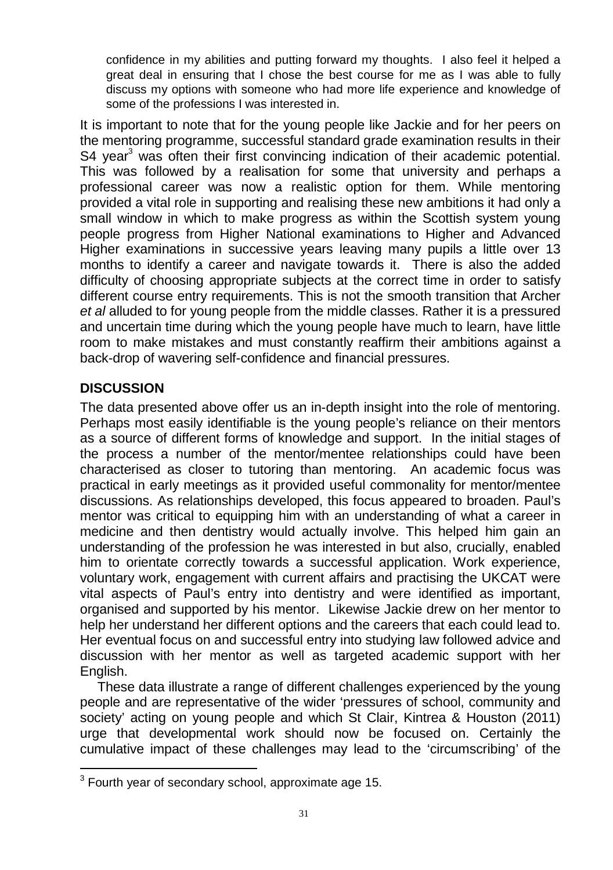confidence in my abilities and putting forward my thoughts. I also feel it helped a great deal in ensuring that I chose the best course for me as I was able to fully discuss my options with someone who had more life experience and knowledge of some of the professions I was interested in.

It is important to note that for the young people like Jackie and for her peers on the mentoring programme, successful standard grade examination results in their S4 year<sup>3</sup> was often their first convincing indication of their academic potential. This was followed by a realisation for some that university and perhaps a professional career was now a realistic option for them. While mentoring provided a vital role in supporting and realising these new ambitions it had only a small window in which to make progress as within the Scottish system young people progress from Higher National examinations to Higher and Advanced Higher examinations in successive years leaving many pupils a little over 13 months to identify a career and navigate towards it. There is also the added difficulty of choosing appropriate subjects at the correct time in order to satisfy different course entry requirements. This is not the smooth transition that Archer et al alluded to for young people from the middle classes. Rather it is a pressured and uncertain time during which the young people have much to learn, have little room to make mistakes and must constantly reaffirm their ambitions against a back-drop of wavering self-confidence and financial pressures.

# **DISCUSSION**

 $\overline{a}$ 

The data presented above offer us an in-depth insight into the role of mentoring. Perhaps most easily identifiable is the young people's reliance on their mentors as a source of different forms of knowledge and support. In the initial stages of the process a number of the mentor/mentee relationships could have been characterised as closer to tutoring than mentoring. An academic focus was practical in early meetings as it provided useful commonality for mentor/mentee discussions. As relationships developed, this focus appeared to broaden. Paul's mentor was critical to equipping him with an understanding of what a career in medicine and then dentistry would actually involve. This helped him gain an understanding of the profession he was interested in but also, crucially, enabled him to orientate correctly towards a successful application. Work experience, voluntary work, engagement with current affairs and practising the UKCAT were vital aspects of Paul's entry into dentistry and were identified as important, organised and supported by his mentor. Likewise Jackie drew on her mentor to help her understand her different options and the careers that each could lead to. Her eventual focus on and successful entry into studying law followed advice and discussion with her mentor as well as targeted academic support with her English.

These data illustrate a range of different challenges experienced by the young people and are representative of the wider 'pressures of school, community and society' acting on young people and which St Clair, Kintrea & Houston (2011) urge that developmental work should now be focused on. Certainly the cumulative impact of these challenges may lead to the 'circumscribing' of the

 $3$  Fourth year of secondary school, approximate age 15.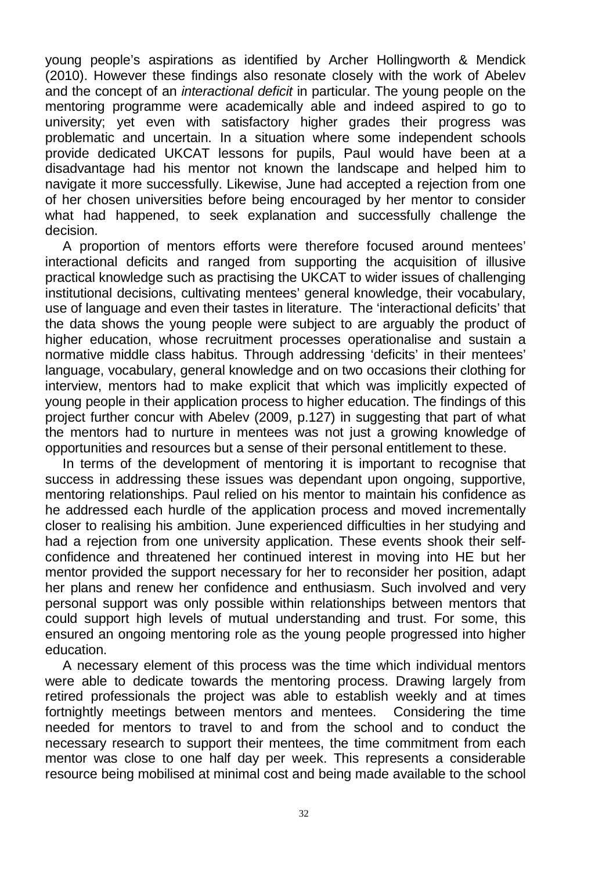young people's aspirations as identified by Archer Hollingworth & Mendick (2010). However these findings also resonate closely with the work of Abelev and the concept of an interactional deficit in particular. The young people on the mentoring programme were academically able and indeed aspired to go to university; yet even with satisfactory higher grades their progress was problematic and uncertain. In a situation where some independent schools provide dedicated UKCAT lessons for pupils, Paul would have been at a disadvantage had his mentor not known the landscape and helped him to navigate it more successfully. Likewise, June had accepted a rejection from one of her chosen universities before being encouraged by her mentor to consider what had happened, to seek explanation and successfully challenge the decision.

A proportion of mentors efforts were therefore focused around mentees' interactional deficits and ranged from supporting the acquisition of illusive practical knowledge such as practising the UKCAT to wider issues of challenging institutional decisions, cultivating mentees' general knowledge, their vocabulary, use of language and even their tastes in literature. The 'interactional deficits' that the data shows the young people were subject to are arguably the product of higher education, whose recruitment processes operationalise and sustain a normative middle class habitus. Through addressing 'deficits' in their mentees' language, vocabulary, general knowledge and on two occasions their clothing for interview, mentors had to make explicit that which was implicitly expected of young people in their application process to higher education. The findings of this project further concur with Abelev (2009, p.127) in suggesting that part of what the mentors had to nurture in mentees was not just a growing knowledge of opportunities and resources but a sense of their personal entitlement to these.

In terms of the development of mentoring it is important to recognise that success in addressing these issues was dependant upon ongoing, supportive, mentoring relationships. Paul relied on his mentor to maintain his confidence as he addressed each hurdle of the application process and moved incrementally closer to realising his ambition. June experienced difficulties in her studying and had a rejection from one university application. These events shook their selfconfidence and threatened her continued interest in moving into HE but her mentor provided the support necessary for her to reconsider her position, adapt her plans and renew her confidence and enthusiasm. Such involved and very personal support was only possible within relationships between mentors that could support high levels of mutual understanding and trust. For some, this ensured an ongoing mentoring role as the young people progressed into higher education.

A necessary element of this process was the time which individual mentors were able to dedicate towards the mentoring process. Drawing largely from retired professionals the project was able to establish weekly and at times fortnightly meetings between mentors and mentees. Considering the time needed for mentors to travel to and from the school and to conduct the necessary research to support their mentees, the time commitment from each mentor was close to one half day per week. This represents a considerable resource being mobilised at minimal cost and being made available to the school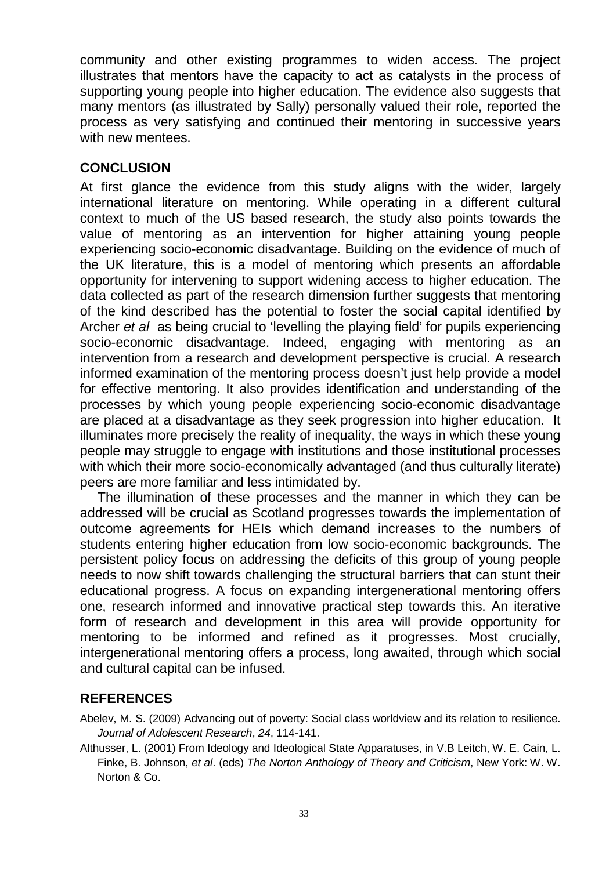community and other existing programmes to widen access. The project illustrates that mentors have the capacity to act as catalysts in the process of supporting young people into higher education. The evidence also suggests that many mentors (as illustrated by Sally) personally valued their role, reported the process as very satisfying and continued their mentoring in successive years with new mentees.

## **CONCLUSION**

At first glance the evidence from this study aligns with the wider, largely international literature on mentoring. While operating in a different cultural context to much of the US based research, the study also points towards the value of mentoring as an intervention for higher attaining young people experiencing socio-economic disadvantage. Building on the evidence of much of the UK literature, this is a model of mentoring which presents an affordable opportunity for intervening to support widening access to higher education. The data collected as part of the research dimension further suggests that mentoring of the kind described has the potential to foster the social capital identified by Archer et al as being crucial to 'levelling the playing field' for pupils experiencing socio-economic disadvantage. Indeed, engaging with mentoring as an intervention from a research and development perspective is crucial. A research informed examination of the mentoring process doesn't just help provide a model for effective mentoring. It also provides identification and understanding of the processes by which young people experiencing socio-economic disadvantage are placed at a disadvantage as they seek progression into higher education. It illuminates more precisely the reality of inequality, the ways in which these young people may struggle to engage with institutions and those institutional processes with which their more socio-economically advantaged (and thus culturally literate) peers are more familiar and less intimidated by.

The illumination of these processes and the manner in which they can be addressed will be crucial as Scotland progresses towards the implementation of outcome agreements for HEIs which demand increases to the numbers of students entering higher education from low socio-economic backgrounds. The persistent policy focus on addressing the deficits of this group of young people needs to now shift towards challenging the structural barriers that can stunt their educational progress. A focus on expanding intergenerational mentoring offers one, research informed and innovative practical step towards this. An iterative form of research and development in this area will provide opportunity for mentoring to be informed and refined as it progresses. Most crucially, intergenerational mentoring offers a process, long awaited, through which social and cultural capital can be infused.

# **REFERENCES**

Abelev, M. S. (2009) Advancing out of poverty: Social class worldview and its relation to resilience. Journal of Adolescent Research, 24, 114-141.

Althusser, L. (2001) From Ideology and Ideological State Apparatuses, in V.B Leitch, W. E. Cain, L. Finke, B. Johnson, et al. (eds) The Norton Anthology of Theory and Criticism, New York: W. W. Norton & Co.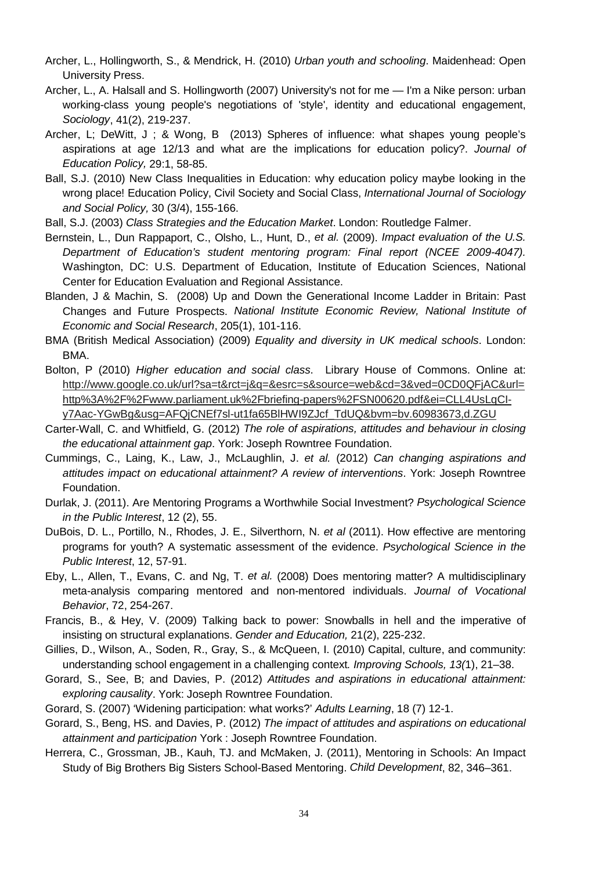- Archer, L., Hollingworth, S., & Mendrick, H. (2010) Urban youth and schooling. Maidenhead: Open University Press.
- Archer, L., A. Halsall and S. Hollingworth (2007) University's not for me I'm a Nike person: urban working-class young people's negotiations of 'style', identity and educational engagement, Sociology, 41(2), 219-237.
- Archer, L; DeWitt, J ; & Wong, B (2013) Spheres of influence: what shapes young people's aspirations at age 12/13 and what are the implications for education policy?. Journal of Education Policy, 29:1, 58-85.
- Ball, S.J. (2010) New Class Inequalities in Education: why education policy maybe looking in the wrong place! Education Policy, Civil Society and Social Class, International Journal of Sociology and Social Policy, 30 (3/4), 155-166.

Ball, S.J. (2003) Class Strategies and the Education Market. London: Routledge Falmer.

Bernstein, L., Dun Rappaport, C., Olsho, L., Hunt, D., et al. (2009). Impact evaluation of the U.S. Department of Education's student mentoring program: Final report (NCEE 2009-4047). Washington, DC: U.S. Department of Education, Institute of Education Sciences, National Center for Education Evaluation and Regional Assistance.

- Blanden, J & Machin, S. (2008) Up and Down the Generational Income Ladder in Britain: Past Changes and Future Prospects. National Institute Economic Review, National Institute of Economic and Social Research, 205(1), 101-116.
- BMA (British Medical Association) (2009) Equality and diversity in UK medical schools. London: BMA.
- Bolton, P (2010) Higher education and social class. Library House of Commons. Online at: http://www.google.co.uk/url?sa=t&rct=j&q=&esrc=s&source=web&cd=3&ved=0CD0QFjAC&url= http%3A%2F%2Fwww.parliament.uk%2Fbriefing-papers%2FSN00620.pdf&ei=CLL4UsLqCIy7Aac-YGwBg&usg=AFQjCNEf7sl-ut1fa65BlHWI9ZJcf\_TdUQ&bvm=bv.60983673,d.ZGU
- Carter-Wall, C. and Whitfield, G. (2012) The role of aspirations, attitudes and behaviour in closing the educational attainment gap. York: Joseph Rowntree Foundation.
- Cummings, C., Laing, K., Law, J., McLaughlin, J. et al. (2012) Can changing aspirations and attitudes impact on educational attainment? A review of interventions. York: Joseph Rowntree Foundation.
- Durlak, J. (2011). Are Mentoring Programs a Worthwhile Social Investment? Psychological Science in the Public Interest, 12 (2), 55.
- DuBois, D. L., Portillo, N., Rhodes, J. E., Silverthorn, N. et al (2011). How effective are mentoring programs for youth? A systematic assessment of the evidence. Psychological Science in the Public Interest, 12, 57-91.
- Eby, L., Allen, T., Evans, C. and Ng, T. et al. (2008) Does mentoring matter? A multidisciplinary meta-analysis comparing mentored and non-mentored individuals. Journal of Vocational Behavior, 72, 254-267.
- Francis, B., & Hey, V. (2009) Talking back to power: Snowballs in hell and the imperative of insisting on structural explanations. Gender and Education, 21(2), 225-232.
- Gillies, D., Wilson, A., Soden, R., Gray, S., & McQueen, I. (2010) Capital, culture, and community: understanding school engagement in a challenging context. Improving Schools, 13(1), 21–38.
- Gorard, S., See, B; and Davies, P. (2012) Attitudes and aspirations in educational attainment: exploring causality. York: Joseph Rowntree Foundation.
- Gorard, S. (2007) 'Widening participation: what works?' Adults Learning, 18 (7) 12-1.
- Gorard, S., Beng, HS. and Davies, P. (2012) The impact of attitudes and aspirations on educational attainment and participation York : Joseph Rowntree Foundation.
- Herrera, C., Grossman, JB., Kauh, TJ. and McMaken, J. (2011), Mentoring in Schools: An Impact Study of Big Brothers Big Sisters School-Based Mentoring. Child Development, 82, 346–361.